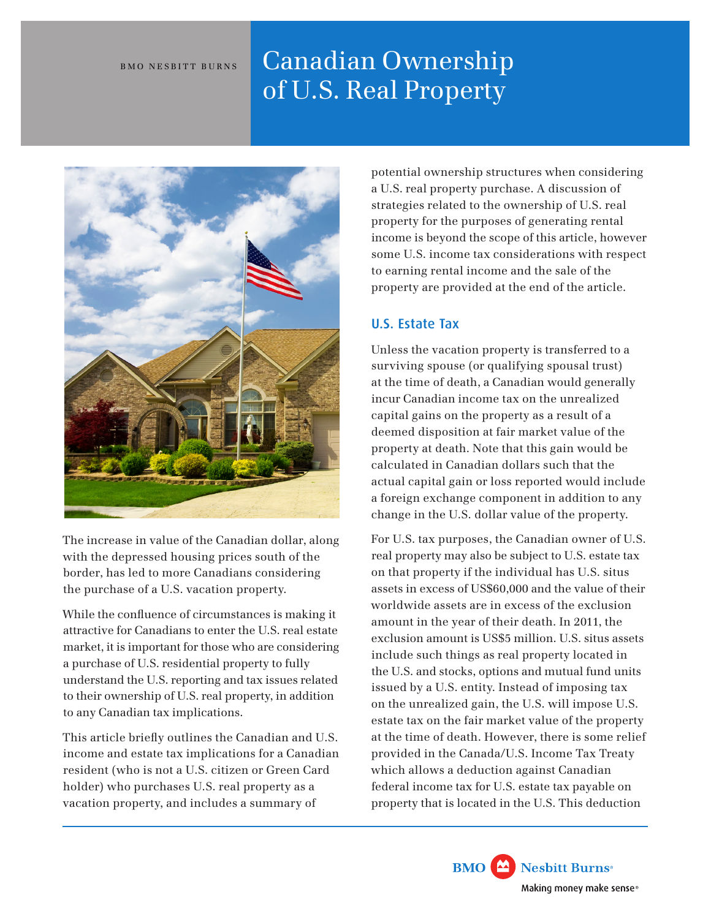# BMO NESBITT BURNS **Canadian Ownership** of U.S. Real Property



The increase in value of the Canadian dollar, along with the depressed housing prices south of the border, has led to more Canadians considering the purchase of a U.S. vacation property.

While the confluence of circumstances is making it attractive for Canadians to enter the U.S. real estate market, it is important for those who are considering a purchase of U.S. residential property to fully understand the U.S. reporting and tax issues related to their ownership of U.S. real property, in addition to any Canadian tax implications.

This article briefly outlines the Canadian and U.S. income and estate tax implications for a Canadian resident (who is not a U.S. citizen or Green Card holder) who purchases U.S. real property as a vacation property, and includes a summary of

potential ownership structures when considering a U.S. real property purchase. A discussion of strategies related to the ownership of U.S. real property for the purposes of generating rental income is beyond the scope of this article, however some U.S. income tax considerations with respect to earning rental income and the sale of the property are provided at the end of the article.

# U.S. Estate Tax

Unless the vacation property is transferred to a surviving spouse (or qualifying spousal trust) at the time of death, a Canadian would generally incur Canadian income tax on the unrealized capital gains on the property as a result of a deemed disposition at fair market value of the property at death. Note that this gain would be calculated in Canadian dollars such that the actual capital gain or loss reported would include a foreign exchange component in addition to any change in the U.S. dollar value of the property.

For U.S. tax purposes, the Canadian owner of U.S. real property may also be subject to U.S. estate tax on that property if the individual has U.S. situs assets in excess of US\$60,000 and the value of their worldwide assets are in excess of the exclusion amount in the year of their death. In 2011, the exclusion amount is US\$5 million. U.S. situs assets include such things as real property located in the U.S. and stocks, options and mutual fund units issued by a U.S. entity. Instead of imposing tax on the unrealized gain, the U.S. will impose U.S. estate tax on the fair market value of the property at the time of death. However, there is some relief provided in the Canada/U.S. Income Tax Treaty which allows a deduction against Canadian federal income tax for U.S. estate tax payable on property that is located in the U.S. This deduction

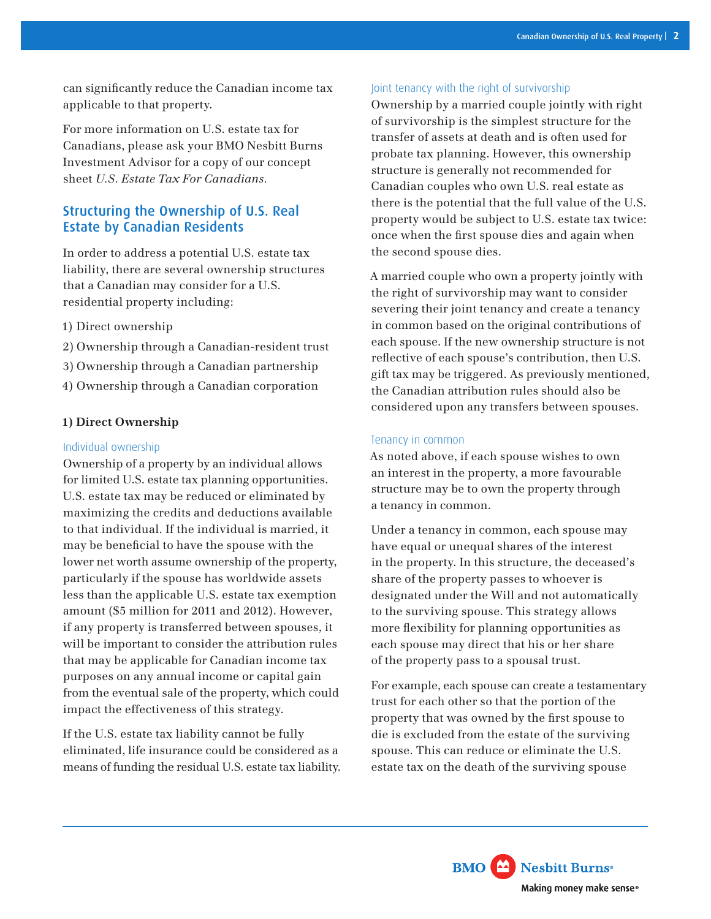can significantly reduce the Canadian income tax applicable to that property.

For more information on U.S. estate tax for Canadians, please ask your BMO Nesbitt Burns Investment Advisor for a copy of our concept sheet *U.S. Estate Tax For Canadians.*

# Structuring the Ownership of U.S. Real Estate by Canadian Residents

In order to address a potential U.S. estate tax liability, there are several ownership structures that a Canadian may consider for a U.S. residential property including:

- 1) Direct ownership
- 2) Ownership through a Canadian-resident trust
- 3) Ownership through a Canadian partnership
- 4) Ownership through a Canadian corporation

#### **1) Direct Ownership**

#### Individual ownership

Ownership of a property by an individual allows for limited U.S. estate tax planning opportunities. U.S. estate tax may be reduced or eliminated by maximizing the credits and deductions available to that individual. If the individual is married, it may be beneficial to have the spouse with the lower net worth assume ownership of the property, particularly if the spouse has worldwide assets less than the applicable U.S. estate tax exemption amount (\$5 million for 2011 and 2012). However, if any property is transferred between spouses, it will be important to consider the attribution rules that may be applicable for Canadian income tax purposes on any annual income or capital gain from the eventual sale of the property, which could impact the effectiveness of this strategy.

If the U.S. estate tax liability cannot be fully eliminated, life insurance could be considered as a means of funding the residual U.S. estate tax liability.

#### Joint tenancy with the right of survivorship

Ownership by a married couple jointly with right of survivorship is the simplest structure for the transfer of assets at death and is often used for probate tax planning. However, this ownership structure is generally not recommended for Canadian couples who own U.S. real estate as there is the potential that the full value of the U.S. property would be subject to U.S. estate tax twice: once when the first spouse dies and again when the second spouse dies.

A married couple who own a property jointly with the right of survivorship may want to consider severing their joint tenancy and create a tenancy in common based on the original contributions of each spouse. If the new ownership structure is not reflective of each spouse's contribution, then U.S. gift tax may be triggered. As previously mentioned, the Canadian attribution rules should also be considered upon any transfers between spouses.

#### Tenancy in common

As noted above, if each spouse wishes to own an interest in the property, a more favourable structure may be to own the property through a tenancy in common.

Under a tenancy in common, each spouse may have equal or unequal shares of the interest in the property. In this structure, the deceased's share of the property passes to whoever is designated under the Will and not automatically to the surviving spouse. This strategy allows more flexibility for planning opportunities as each spouse may direct that his or her share of the property pass to a spousal trust.

For example, each spouse can create a testamentary trust for each other so that the portion of the property that was owned by the first spouse to die is excluded from the estate of the surviving spouse. This can reduce or eliminate the U.S. estate tax on the death of the surviving spouse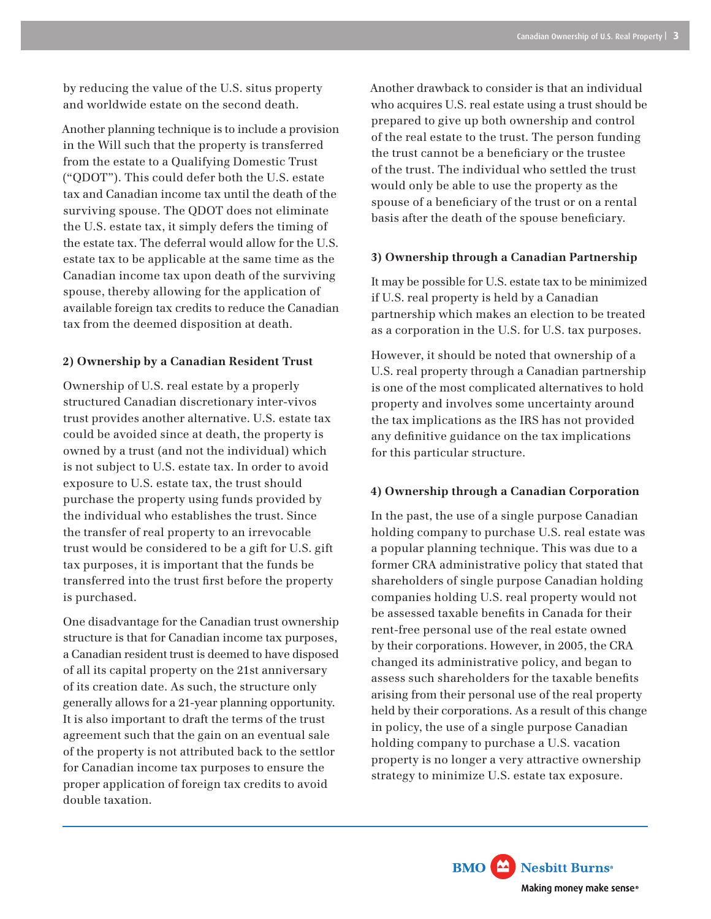by reducing the value of the U.S. situs property and worldwide estate on the second death.

Another planning technique is to include a provision in the Will such that the property is transferred from the estate to a Qualifying Domestic Trust ("QDOT"). This could defer both the U.S. estate tax and Canadian income tax until the death of the surviving spouse. The QDOT does not eliminate the U.S. estate tax, it simply defers the timing of the estate tax. The deferral would allow for the U.S. estate tax to be applicable at the same time as the Canadian income tax upon death of the surviving spouse, thereby allowing for the application of available foreign tax credits to reduce the Canadian tax from the deemed disposition at death.

#### **2) Ownership by a Canadian Resident Trust**

Ownership of U.S. real estate by a properly structured Canadian discretionary inter-vivos trust provides another alternative. U.S. estate tax could be avoided since at death, the property is owned by a trust (and not the individual) which is not subject to U.S. estate tax. In order to avoid exposure to U.S. estate tax, the trust should purchase the property using funds provided by the individual who establishes the trust. Since the transfer of real property to an irrevocable trust would be considered to be a gift for U.S. gift tax purposes, it is important that the funds be transferred into the trust first before the property is purchased.

One disadvantage for the Canadian trust ownership structure is that for Canadian income tax purposes, a Canadian resident trust is deemed to have disposed of all its capital property on the 21st anniversary of its creation date. As such, the structure only generally allows for a 21-year planning opportunity. It is also important to draft the terms of the trust agreement such that the gain on an eventual sale of the property is not attributed back to the settlor for Canadian income tax purposes to ensure the proper application of foreign tax credits to avoid double taxation.

Another drawback to consider is that an individual who acquires U.S. real estate using a trust should be prepared to give up both ownership and control of the real estate to the trust. The person funding the trust cannot be a beneficiary or the trustee of the trust. The individual who settled the trust would only be able to use the property as the spouse of a beneficiary of the trust or on a rental basis after the death of the spouse beneficiary.

#### **3) Ownership through a Canadian Partnership**

It may be possible for U.S. estate tax to be minimized if U.S. real property is held by a Canadian partnership which makes an election to be treated as a corporation in the U.S. for U.S. tax purposes.

However, it should be noted that ownership of a U.S. real property through a Canadian partnership is one of the most complicated alternatives to hold property and involves some uncertainty around the tax implications as the IRS has not provided any definitive guidance on the tax implications for this particular structure.

### **4) Ownership through a Canadian Corporation**

In the past, the use of a single purpose Canadian holding company to purchase U.S. real estate was a popular planning technique. This was due to a former CRA administrative policy that stated that shareholders of single purpose Canadian holding companies holding U.S. real property would not be assessed taxable benefits in Canada for their rent-free personal use of the real estate owned by their corporations. However, in 2005, the CRA changed its administrative policy, and began to assess such shareholders for the taxable benefits arising from their personal use of the real property held by their corporations. As a result of this change in policy, the use of a single purpose Canadian holding company to purchase a U.S. vacation property is no longer a very attractive ownership strategy to minimize U.S. estate tax exposure.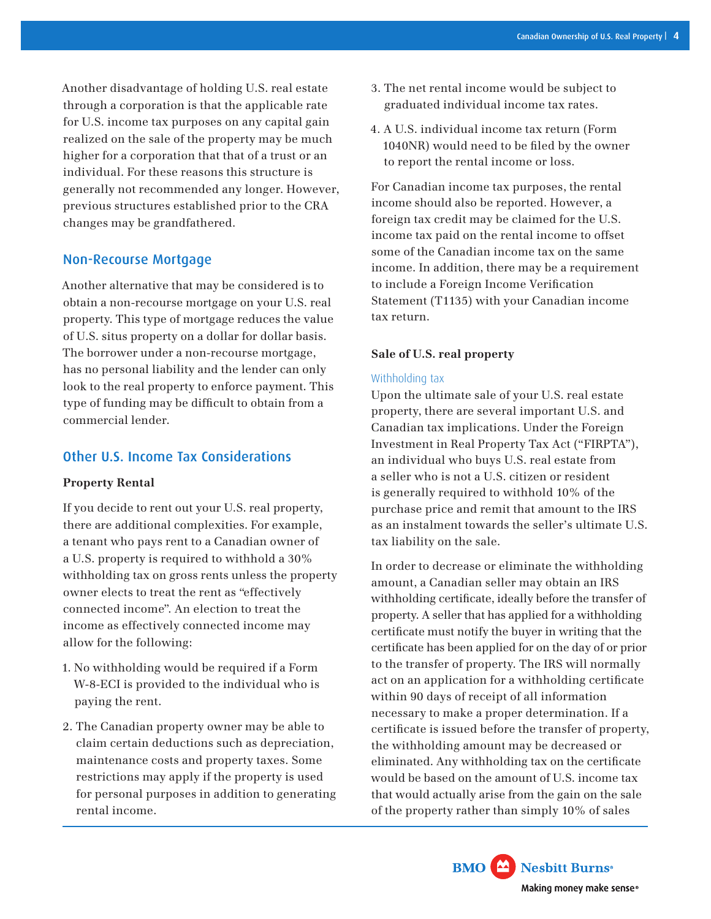Another disadvantage of holding U.S. real estate through a corporation is that the applicable rate for U.S. income tax purposes on any capital gain realized on the sale of the property may be much higher for a corporation that that of a trust or an individual. For these reasons this structure is generally not recommended any longer. However, previous structures established prior to the CRA changes may be grandfathered.

#### Non-Recourse Mortgage

Another alternative that may be considered is to obtain a non-recourse mortgage on your U.S. real property. This type of mortgage reduces the value of U.S. situs property on a dollar for dollar basis. The borrower under a non-recourse mortgage, has no personal liability and the lender can only look to the real property to enforce payment. This type of funding may be difficult to obtain from a commercial lender.

# Other U.S. Income Tax Considerations

#### **Property Rental**

If you decide to rent out your U.S. real property, there are additional complexities. For example, a tenant who pays rent to a Canadian owner of a U.S. property is required to withhold a 30% withholding tax on gross rents unless the property owner elects to treat the rent as "effectively connected income". An election to treat the income as effectively connected income may allow for the following:

- 1. No withholding would be required if a Form W-8-ECI is provided to the individual who is paying the rent.
- 2. The Canadian property owner may be able to claim certain deductions such as depreciation, maintenance costs and property taxes. Some restrictions may apply if the property is used for personal purposes in addition to generating rental income.
- 3. The net rental income would be subject to graduated individual income tax rates.
- 4. A U.S. individual income tax return (Form 1040NR) would need to be filed by the owner to report the rental income or loss.

For Canadian income tax purposes, the rental income should also be reported. However, a foreign tax credit may be claimed for the U.S. income tax paid on the rental income to offset some of the Canadian income tax on the same income. In addition, there may be a requirement to include a Foreign Income Verification Statement (T1135) with your Canadian income tax return.

#### **Sale of U.S. real property**

#### Withholding tax

Upon the ultimate sale of your U.S. real estate property, there are several important U.S. and Canadian tax implications. Under the Foreign Investment in Real Property Tax Act ("FIRPTA"), an individual who buys U.S. real estate from a seller who is not a U.S. citizen or resident is generally required to withhold 10% of the purchase price and remit that amount to the IRS as an instalment towards the seller's ultimate U.S. tax liability on the sale.

In order to decrease or eliminate the withholding amount, a Canadian seller may obtain an IRS withholding certificate, ideally before the transfer of property. A seller that has applied for a withholding certificate must notify the buyer in writing that the certificate has been applied for on the day of or prior to the transfer of property. The IRS will normally act on an application for a withholding certificate within 90 days of receipt of all information necessary to make a proper determination. If a certificate is issued before the transfer of property, the withholding amount may be decreased or eliminated. Any withholding tax on the certificate would be based on the amount of U.S. income tax that would actually arise from the gain on the sale of the property rather than simply 10% of sales